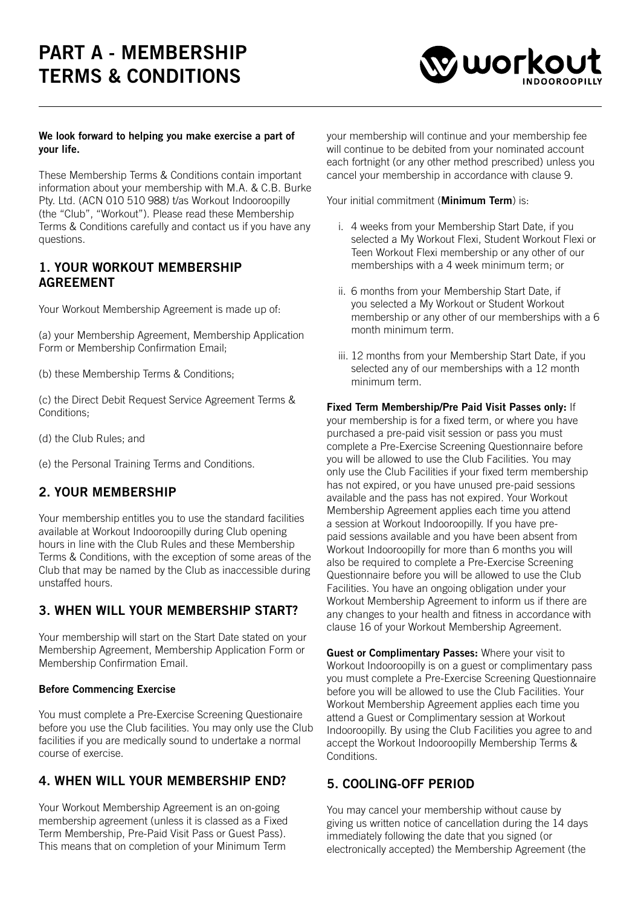# PART A - MEMBERSHIP TERMS & CONDITIONS



#### We look forward to helping you make exercise a part of your life.

These Membership Terms & Conditions contain important information about your membership with M.A. & C.B. Burke Pty. Ltd. (ACN 010 510 988) t/as Workout Indooroopilly (the "Club", "Workout"). Please read these Membership Terms & Conditions carefully and contact us if you have any questions.

#### 1. YOUR WORKOUT MEMBERSHIP AGREEMENT

Your Workout Membership Agreement is made up of:

(a) your Membership Agreement, Membership Application Form or Membership Confirmation Email;

(b) these Membership Terms & Conditions;

(c) the Direct Debit Request Service Agreement Terms & Conditions;

(d) the Club Rules; and

(e) the Personal Training Terms and Conditions.

## 2. YOUR MEMBERSHIP

Your membership entitles you to use the standard facilities available at Workout Indooroopilly during Club opening hours in line with the Club Rules and these Membership Terms & Conditions, with the exception of some areas of the Club that may be named by the Club as inaccessible during unstaffed hours.

#### 3. WHEN WILL YOUR MEMBERSHIP START?

Your membership will start on the Start Date stated on your Membership Agreement, Membership Application Form or Membership Confirmation Email.

#### Before Commencing Exercise

You must complete a Pre-Exercise Screening Questionaire before you use the Club facilities. You may only use the Club facilities if you are medically sound to undertake a normal course of exercise.

#### 4. WHEN WILL YOUR MEMBERSHIP END?

Your Workout Membership Agreement is an on-going membership agreement (unless it is classed as a Fixed Term Membership, Pre-Paid Visit Pass or Guest Pass). This means that on completion of your Minimum Term

your membership will continue and your membership fee will continue to be debited from your nominated account each fortnight (or any other method prescribed) unless you cancel your membership in accordance with clause 9.

Your initial commitment (**Minimum Term**) is:

- i. 4 weeks from your Membership Start Date, if you selected a My Workout Flexi, Student Workout Flexi or Teen Workout Flexi membership or any other of our memberships with a 4 week minimum term; or
- ii. 6 months from your Membership Start Date, if you selected a My Workout or Student Workout membership or any other of our memberships with a 6 month minimum term.
- iii. 12 months from your Membership Start Date, if you selected any of our memberships with a 12 month minimum term.

Fixed Term Membership/Pre Paid Visit Passes only: If your membership is for a fixed term, or where you have purchased a pre-paid visit session or pass you must complete a Pre-Exercise Screening Questionnaire before you will be allowed to use the Club Facilities. You may only use the Club Facilities if your fixed term membership has not expired, or you have unused pre-paid sessions available and the pass has not expired. Your Workout Membership Agreement applies each time you attend a session at Workout Indooroopilly. If you have prepaid sessions available and you have been absent from Workout Indooroopilly for more than 6 months you will also be required to complete a Pre-Exercise Screening Questionnaire before you will be allowed to use the Club Facilities. You have an ongoing obligation under your Workout Membership Agreement to inform us if there are any changes to your health and fitness in accordance with clause 16 of your Workout Membership Agreement.

Guest or Complimentary Passes: Where your visit to Workout Indooroopilly is on a guest or complimentary pass you must complete a Pre-Exercise Screening Questionnaire before you will be allowed to use the Club Facilities. Your Workout Membership Agreement applies each time you attend a Guest or Complimentary session at Workout Indooroopilly. By using the Club Facilities you agree to and accept the Workout Indooroopilly Membership Terms & **Conditions** 

#### 5. COOLING-OFF PERIOD

You may cancel your membership without cause by giving us written notice of cancellation during the 14 days immediately following the date that you signed (or electronically accepted) the Membership Agreement (the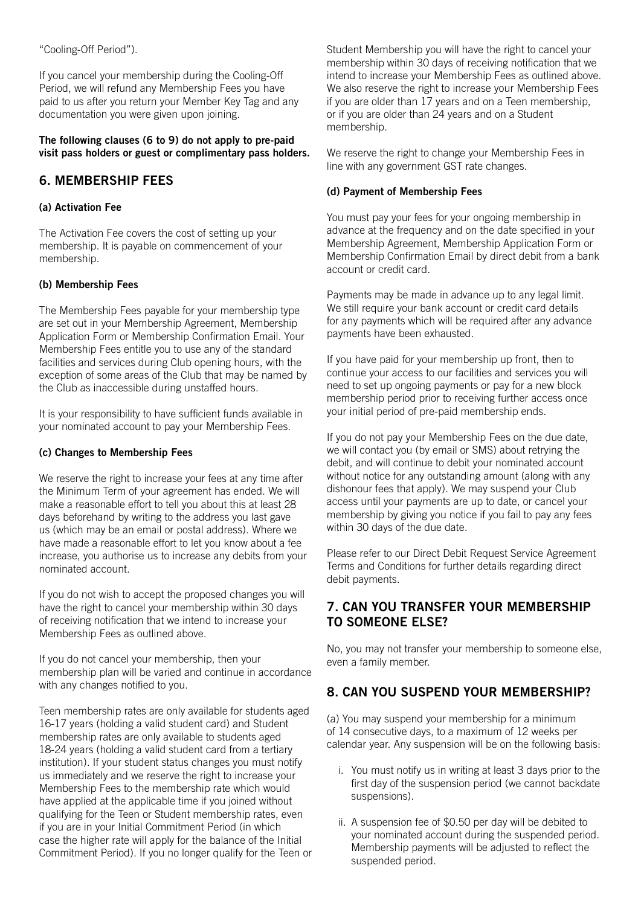"Cooling-Off Period").

If you cancel your membership during the Cooling-Off Period, we will refund any Membership Fees you have paid to us after you return your Member Key Tag and any documentation you were given upon joining.

#### The following clauses (6 to 9) do not apply to pre-paid visit pass holders or guest or complimentary pass holders.

## 6. MEMBERSHIP FEES

#### (a) Activation Fee

The Activation Fee covers the cost of setting up your membership. It is payable on commencement of your membership.

#### (b) Membership Fees

The Membership Fees payable for your membership type are set out in your Membership Agreement, Membership Application Form or Membership Confirmation Email. Your Membership Fees entitle you to use any of the standard facilities and services during Club opening hours, with the exception of some areas of the Club that may be named by the Club as inaccessible during unstaffed hours.

It is your responsibility to have sufficient funds available in your nominated account to pay your Membership Fees.

#### (c) Changes to Membership Fees

We reserve the right to increase your fees at any time after the Minimum Term of your agreement has ended. We will make a reasonable effort to tell you about this at least 28 days beforehand by writing to the address you last gave us (which may be an email or postal address). Where we have made a reasonable effort to let you know about a fee increase, you authorise us to increase any debits from your nominated account.

If you do not wish to accept the proposed changes you will have the right to cancel your membership within 30 days of receiving notification that we intend to increase your Membership Fees as outlined above.

If you do not cancel your membership, then your membership plan will be varied and continue in accordance with any changes notified to you.

Teen membership rates are only available for students aged 16-17 years (holding a valid student card) and Student membership rates are only available to students aged 18-24 years (holding a valid student card from a tertiary institution). If your student status changes you must notify us immediately and we reserve the right to increase your Membership Fees to the membership rate which would have applied at the applicable time if you joined without qualifying for the Teen or Student membership rates, even if you are in your Initial Commitment Period (in which case the higher rate will apply for the balance of the Initial Commitment Period). If you no longer qualify for the Teen or Student Membership you will have the right to cancel your membership within 30 days of receiving notification that we intend to increase your Membership Fees as outlined above. We also reserve the right to increase your Membership Fees if you are older than 17 years and on a Teen membership, or if you are older than 24 years and on a Student membership.

We reserve the right to change your Membership Fees in line with any government GST rate changes.

#### (d) Payment of Membership Fees

You must pay your fees for your ongoing membership in advance at the frequency and on the date specified in your Membership Agreement, Membership Application Form or Membership Confirmation Email by direct debit from a bank account or credit card.

Payments may be made in advance up to any legal limit. We still require your bank account or credit card details for any payments which will be required after any advance payments have been exhausted.

If you have paid for your membership up front, then to continue your access to our facilities and services you will need to set up ongoing payments or pay for a new block membership period prior to receiving further access once your initial period of pre-paid membership ends.

If you do not pay your Membership Fees on the due date, we will contact you (by email or SMS) about retrying the debit, and will continue to debit your nominated account without notice for any outstanding amount (along with any dishonour fees that apply). We may suspend your Club access until your payments are up to date, or cancel your membership by giving you notice if you fail to pay any fees within 30 days of the due date.

Please refer to our Direct Debit Request Service Agreement Terms and Conditions for further details regarding direct debit payments.

#### 7. CAN YOU TRANSFER YOUR MEMBERSHIP TO SOMEONE ELSE?

No, you may not transfer your membership to someone else, even a family member.

## 8. CAN YOU SUSPEND YOUR MEMBERSHIP?

(a) You may suspend your membership for a minimum of 14 consecutive days, to a maximum of 12 weeks per calendar year. Any suspension will be on the following basis:

- i. You must notify us in writing at least 3 days prior to the first day of the suspension period (we cannot backdate suspensions).
- ii. A suspension fee of \$0.50 per day will be debited to your nominated account during the suspended period. Membership payments will be adjusted to reflect the suspended period.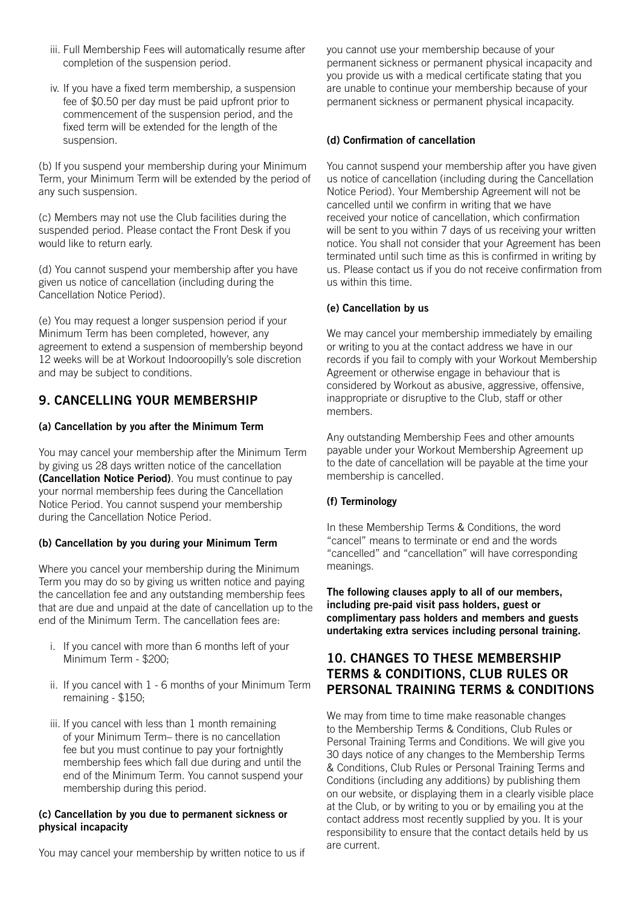- iii. Full Membership Fees will automatically resume after completion of the suspension period.
- iv. If you have a fixed term membership, a suspension fee of \$0.50 per day must be paid upfront prior to commencement of the suspension period, and the fixed term will be extended for the length of the suspension.

(b) If you suspend your membership during your Minimum Term, your Minimum Term will be extended by the period of any such suspension.

(c) Members may not use the Club facilities during the suspended period. Please contact the Front Desk if you would like to return early.

(d) You cannot suspend your membership after you have given us notice of cancellation (including during the Cancellation Notice Period).

(e) You may request a longer suspension period if your Minimum Term has been completed, however, any agreement to extend a suspension of membership beyond 12 weeks will be at Workout Indooroopilly's sole discretion and may be subject to conditions.

## 9. CANCELLING YOUR MEMBERSHIP

#### (a) Cancellation by you after the Minimum Term

You may cancel your membership after the Minimum Term by giving us 28 days written notice of the cancellation (Cancellation Notice Period). You must continue to pay your normal membership fees during the Cancellation Notice Period. You cannot suspend your membership during the Cancellation Notice Period.

#### (b) Cancellation by you during your Minimum Term

Where you cancel your membership during the Minimum Term you may do so by giving us written notice and paying the cancellation fee and any outstanding membership fees that are due and unpaid at the date of cancellation up to the end of the Minimum Term. The cancellation fees are:

- i. If you cancel with more than 6 months left of your Minimum Term - \$200;
- ii. If you cancel with 1 6 months of your Minimum Term remaining - \$150;
- iii. If you cancel with less than 1 month remaining of your Minimum Term– there is no cancellation fee but you must continue to pay your fortnightly membership fees which fall due during and until the end of the Minimum Term. You cannot suspend your membership during this period.

#### (c) Cancellation by you due to permanent sickness or physical incapacity

You may cancel your membership by written notice to us if

you cannot use your membership because of your permanent sickness or permanent physical incapacity and you provide us with a medical certificate stating that you are unable to continue your membership because of your permanent sickness or permanent physical incapacity.

#### (d) Confirmation of cancellation

You cannot suspend your membership after you have given us notice of cancellation (including during the Cancellation Notice Period). Your Membership Agreement will not be cancelled until we confirm in writing that we have received your notice of cancellation, which confirmation will be sent to you within 7 days of us receiving your written notice. You shall not consider that your Agreement has been terminated until such time as this is confirmed in writing by us. Please contact us if you do not receive confirmation from us within this time.

#### (e) Cancellation by us

We may cancel your membership immediately by emailing or writing to you at the contact address we have in our records if you fail to comply with your Workout Membership Agreement or otherwise engage in behaviour that is considered by Workout as abusive, aggressive, offensive, inappropriate or disruptive to the Club, staff or other members.

Any outstanding Membership Fees and other amounts payable under your Workout Membership Agreement up to the date of cancellation will be payable at the time your membership is cancelled.

#### (f) Terminology

In these Membership Terms & Conditions, the word "cancel" means to terminate or end and the words "cancelled" and "cancellation" will have corresponding meanings.

The following clauses apply to all of our members, including pre-paid visit pass holders, guest or complimentary pass holders and members and guests undertaking extra services including personal training.

#### 10. CHANGES TO THESE MEMBERSHIP TERMS & CONDITIONS, CLUB RULES OR PERSONAL TRAINING TERMS & CONDITIONS

We may from time to time make reasonable changes to the Membership Terms & Conditions, Club Rules or Personal Training Terms and Conditions. We will give you 30 days notice of any changes to the Membership Terms & Conditions, Club Rules or Personal Training Terms and Conditions (including any additions) by publishing them on our website, or displaying them in a clearly visible place at the Club, or by writing to you or by emailing you at the contact address most recently supplied by you. It is your responsibility to ensure that the contact details held by us are current.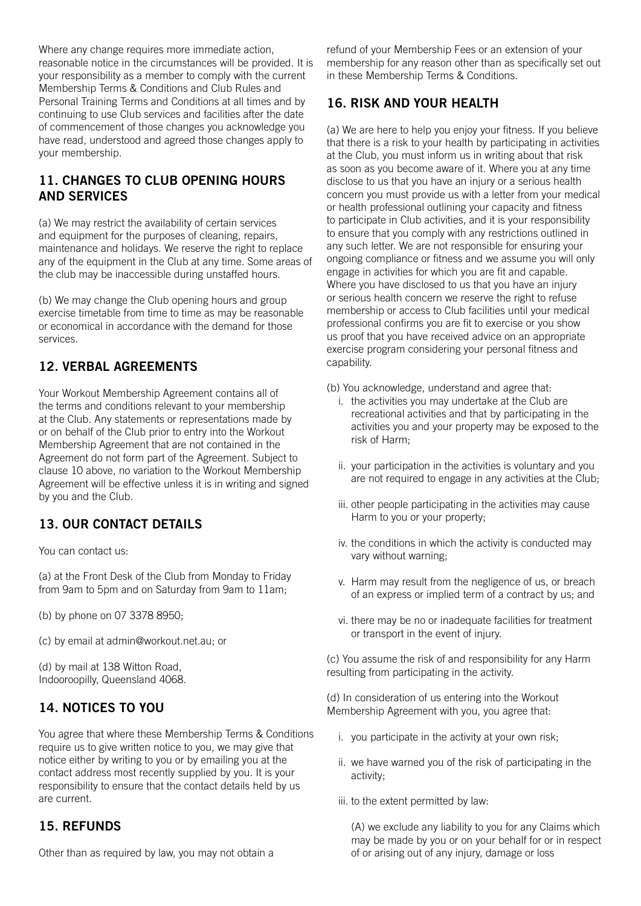Where any change requires more immediate action, reasonable notice in the circumstances will be provided. It is your responsibility as a member to comply with the current Membership Terms & Conditions and Club Rules and Personal Training Terms and Conditions at all times and by continuing to use Club services and facilities after the date of commencement of those changes you acknowledge you have read, understood and agreed those changes apply to your membership.

## 11. CHANGES TO CLUB OPENING HOURS AND SERVICES

(a) We may restrict the availability of certain services and equipment for the purposes of cleaning, repairs, maintenance and holidays. We reserve the right to replace any of the equipment in the Club at any time. Some areas of the club may be inaccessible during unstaffed hours.

(b) We may change the Club opening hours and group exercise timetable from time to time as may be reasonable or economical in accordance with the demand for those services.

## 12. VERBAL AGREEMENTS

Your Workout Membership Agreement contains all of the terms and conditions relevant to your membership at the Club. Any statements or representations made by or on behalf of the Club prior to entry into the Workout Membership Agreement that are not contained in the Agreement do not form part of the Agreement. Subject to clause 10 above, no variation to the Workout Membership Agreement will be effective unless it is in writing and signed by you and the Club.

## 13. OUR CONTACT DETAILS

You can contact us:

(a) at the Front Desk of the Club from Monday to Friday from 9am to 5pm and on Saturday from 9am to 11am;

(b) by phone on 07 3378 8950;

(c) by email at admin@workout.net.au; or

(d) by mail at 138 Witton Road, Indooroopilly, Queensland 4068.

# 14. NOTICES TO YOU

You agree that where these Membership Terms & Conditions require us to give written notice to you, we may give that notice either by writing to you or by emailing you at the contact address most recently supplied by you. It is your responsibility to ensure that the contact details held by us are current.

#### 15. REFUNDS

Other than as required by law, you may not obtain a

refund of your Membership Fees or an extension of your membership for any reason other than as specifically set out in these Membership Terms & Conditions.

# 16. RISK AND YOUR HEALTH

(a) We are here to help you enjoy your fitness. If you believe that there is a risk to your health by participating in activities at the Club, you must inform us in writing about that risk as soon as you become aware of it. Where you at any time disclose to us that you have an injury or a serious health concern you must provide us with a letter from your medical or health professional outlining your capacity and fitness to participate in Club activities, and it is your responsibility to ensure that you comply with any restrictions outlined in any such letter. We are not responsible for ensuring your ongoing compliance or fitness and we assume you will only engage in activities for which you are fit and capable. Where you have disclosed to us that you have an injury or serious health concern we reserve the right to refuse membership or access to Club facilities until your medical professional confirms you are fit to exercise or you show us proof that you have received advice on an appropriate exercise program considering your personal fitness and capability.

- (b) You acknowledge, understand and agree that:
	- i. the activities you may undertake at the Club are recreational activities and that by participating in the activities you and your property may be exposed to the risk of Harm;
	- ii. your participation in the activities is voluntary and you are not required to engage in any activities at the Club;
	- iii. other people participating in the activities may cause Harm to you or your property;
	- iv. the conditions in which the activity is conducted may vary without warning;
	- v. Harm may result from the negligence of us, or breach of an express or implied term of a contract by us; and
	- vi. there may be no or inadequate facilities for treatment or transport in the event of injury.

(c) You assume the risk of and responsibility for any Harm resulting from participating in the activity.

(d) In consideration of us entering into the Workout Membership Agreement with you, you agree that:

- i. you participate in the activity at your own risk;
- ii. we have warned you of the risk of participating in the activity;
- iii. to the extent permitted by law:

(A) we exclude any liability to you for any Claims which may be made by you or on your behalf for or in respect of or arising out of any injury, damage or loss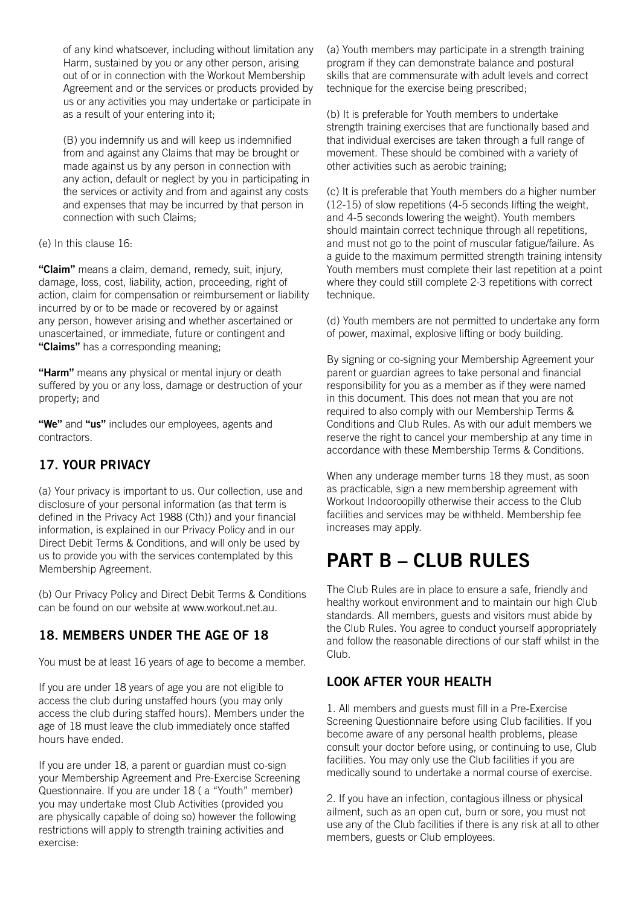of any kind whatsoever, including without limitation any Harm, sustained by you or any other person, arising out of or in connection with the Workout Membership Agreement and or the services or products provided by us or any activities you may undertake or participate in as a result of your entering into it;

(B) you indemnify us and will keep us indemnified from and against any Claims that may be brought or made against us by any person in connection with any action, default or neglect by you in participating in the services or activity and from and against any costs and expenses that may be incurred by that person in connection with such Claims;

(e) In this clause 16:

"Claim" means a claim, demand, remedy, suit, injury, damage, loss, cost, liability, action, proceeding, right of action, claim for compensation or reimbursement or liability incurred by or to be made or recovered by or against any person, however arising and whether ascertained or unascertained, or immediate, future or contingent and "Claims" has a corresponding meaning;

"Harm" means any physical or mental injury or death suffered by you or any loss, damage or destruction of your property; and

"We" and "us" includes our employees, agents and contractors.

# 17. YOUR PRIVACY

(a) Your privacy is important to us. Our collection, use and disclosure of your personal information (as that term is defined in the Privacy Act 1988 (Cth)) and your financial information, is explained in our Privacy Policy and in our Direct Debit Terms & Conditions, and will only be used by us to provide you with the services contemplated by this Membership Agreement.

(b) Our Privacy Policy and Direct Debit Terms & Conditions can be found on our website at www.workout.net.au.

# 18. MEMBERS UNDER THE AGE OF 18

You must be at least 16 years of age to become a member.

If you are under 18 years of age you are not eligible to access the club during unstaffed hours (you may only access the club during staffed hours). Members under the age of 18 must leave the club immediately once staffed hours have ended.

If you are under 18, a parent or guardian must co-sign your Membership Agreement and Pre-Exercise Screening Questionnaire. If you are under 18 ( a "Youth" member) you may undertake most Club Activities (provided you are physically capable of doing so) however the following restrictions will apply to strength training activities and exercise:

(a) Youth members may participate in a strength training program if they can demonstrate balance and postural skills that are commensurate with adult levels and correct technique for the exercise being prescribed;

(b) It is preferable for Youth members to undertake strength training exercises that are functionally based and that individual exercises are taken through a full range of movement. These should be combined with a variety of other activities such as aerobic training;

(c) It is preferable that Youth members do a higher number (12-15) of slow repetitions (4-5 seconds lifting the weight, and 4-5 seconds lowering the weight). Youth members should maintain correct technique through all repetitions. and must not go to the point of muscular fatigue/failure. As a guide to the maximum permitted strength training intensity Youth members must complete their last repetition at a point where they could still complete 2-3 repetitions with correct technique.

(d) Youth members are not permitted to undertake any form of power, maximal, explosive lifting or body building.

By signing or co-signing your Membership Agreement your parent or guardian agrees to take personal and financial responsibility for you as a member as if they were named in this document. This does not mean that you are not required to also comply with our Membership Terms & Conditions and Club Rules. As with our adult members we reserve the right to cancel your membership at any time in accordance with these Membership Terms & Conditions.

When any underage member turns 18 they must, as soon as practicable, sign a new membership agreement with Workout Indooroopilly otherwise their access to the Club facilities and services may be withheld. Membership fee increases may apply.

# PART B – CLUB RULES

The Club Rules are in place to ensure a safe, friendly and healthy workout environment and to maintain our high Club standards. All members, guests and visitors must abide by the Club Rules. You agree to conduct yourself appropriately and follow the reasonable directions of our staff whilst in the Club.

## LOOK AFTER YOUR HEALTH

1. All members and guests must fill in a Pre-Exercise Screening Questionnaire before using Club facilities. If you become aware of any personal health problems, please consult your doctor before using, or continuing to use, Club facilities. You may only use the Club facilities if you are medically sound to undertake a normal course of exercise.

2. If you have an infection, contagious illness or physical ailment, such as an open cut, burn or sore, you must not use any of the Club facilities if there is any risk at all to other members, guests or Club employees.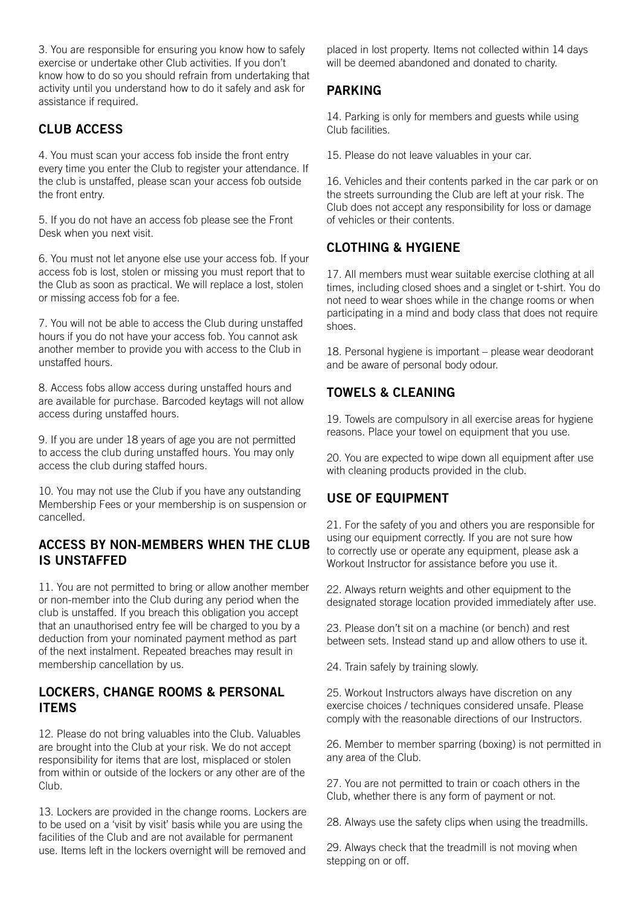3. You are responsible for ensuring you know how to safely exercise or undertake other Club activities. If you don't know how to do so you should refrain from undertaking that activity until you understand how to do it safely and ask for assistance if required.

# CLUB ACCESS

4. You must scan your access fob inside the front entry every time you enter the Club to register your attendance. If the club is unstaffed, please scan your access fob outside the front entry.

5. If you do not have an access fob please see the Front Desk when you next visit.

6. You must not let anyone else use your access fob. If your access fob is lost, stolen or missing you must report that to the Club as soon as practical. We will replace a lost, stolen or missing access fob for a fee.

7. You will not be able to access the Club during unstaffed hours if you do not have your access fob. You cannot ask another member to provide you with access to the Club in unstaffed hours.

8. Access fobs allow access during unstaffed hours and are available for purchase. Barcoded keytags will not allow access during unstaffed hours.

9. If you are under 18 years of age you are not permitted to access the club during unstaffed hours. You may only access the club during staffed hours.

10. You may not use the Club if you have any outstanding Membership Fees or your membership is on suspension or cancelled.

#### ACCESS BY NON-MEMBERS WHEN THE CLUB IS UNSTAFFED

11. You are not permitted to bring or allow another member or non-member into the Club during any period when the club is unstaffed. If you breach this obligation you accept that an unauthorised entry fee will be charged to you by a deduction from your nominated payment method as part of the next instalment. Repeated breaches may result in membership cancellation by us.

#### LOCKERS, CHANGE ROOMS & PERSONAL ITEMS

12. Please do not bring valuables into the Club. Valuables are brought into the Club at your risk. We do not accept responsibility for items that are lost, misplaced or stolen from within or outside of the lockers or any other are of the Club.

13. Lockers are provided in the change rooms. Lockers are to be used on a 'visit by visit' basis while you are using the facilities of the Club and are not available for permanent use. Items left in the lockers overnight will be removed and

placed in lost property. Items not collected within 14 days will be deemed abandoned and donated to charity.

## PARKING

14. Parking is only for members and guests while using Club facilities.

15. Please do not leave valuables in your car.

16. Vehicles and their contents parked in the car park or on the streets surrounding the Club are left at your risk. The Club does not accept any responsibility for loss or damage of vehicles or their contents.

# CLOTHING & HYGIENE

17. All members must wear suitable exercise clothing at all times, including closed shoes and a singlet or t-shirt. You do not need to wear shoes while in the change rooms or when participating in a mind and body class that does not require shoes.

18. Personal hygiene is important – please wear deodorant and be aware of personal body odour.

# TOWELS & CLEANING

19. Towels are compulsory in all exercise areas for hygiene reasons. Place your towel on equipment that you use.

20. You are expected to wipe down all equipment after use with cleaning products provided in the club.

# USE OF EQUIPMENT

21. For the safety of you and others you are responsible for using our equipment correctly. If you are not sure how to correctly use or operate any equipment, please ask a Workout Instructor for assistance before you use it.

22. Always return weights and other equipment to the designated storage location provided immediately after use.

23. Please don't sit on a machine (or bench) and rest between sets. Instead stand up and allow others to use it.

24. Train safely by training slowly.

25. Workout Instructors always have discretion on any exercise choices / techniques considered unsafe. Please comply with the reasonable directions of our Instructors.

26. Member to member sparring (boxing) is not permitted in any area of the Club.

27. You are not permitted to train or coach others in the Club, whether there is any form of payment or not.

28. Always use the safety clips when using the treadmills.

29. Always check that the treadmill is not moving when stepping on or off.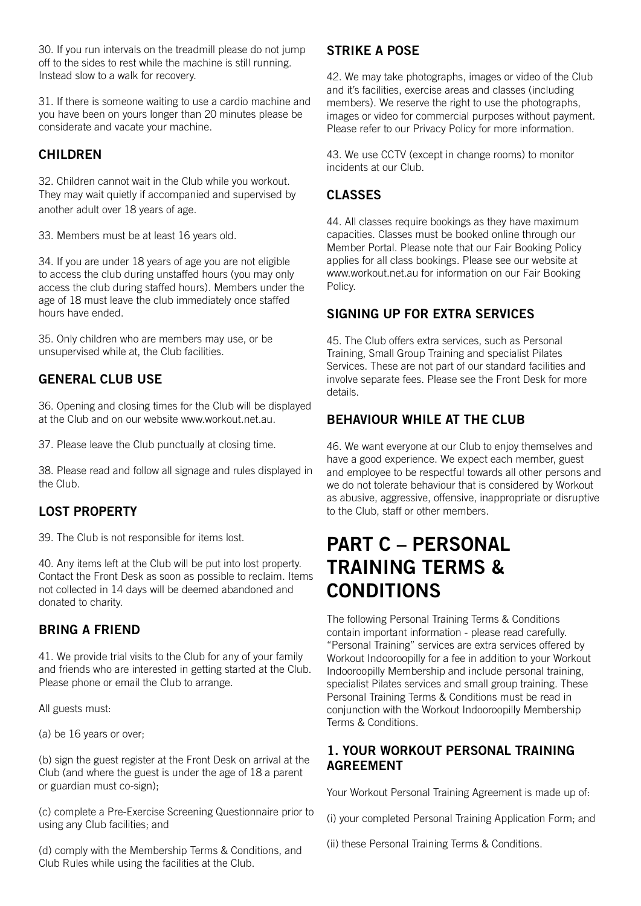30. If you run intervals on the treadmill please do not jump off to the sides to rest while the machine is still running. Instead slow to a walk for recovery.

31. If there is someone waiting to use a cardio machine and you have been on yours longer than 20 minutes please be considerate and vacate your machine.

## CHILDREN

32. Children cannot wait in the Club while you workout. They may wait quietly if accompanied and supervised by another adult over 18 years of age.

33. Members must be at least 16 years old.

34. If you are under 18 years of age you are not eligible to access the club during unstaffed hours (you may only access the club during staffed hours). Members under the age of 18 must leave the club immediately once staffed hours have ended.

35. Only children who are members may use, or be unsupervised while at, the Club facilities.

# GENERAL CLUB USE

36. Opening and closing times for the Club will be displayed at the Club and on our website<www.workout.net.au>.

37. Please leave the Club punctually at closing time.

38. Please read and follow all signage and rules displayed in the Club.

# LOST PROPERTY

39. The Club is not responsible for items lost.

40. Any items left at the Club will be put into lost property. Contact the Front Desk as soon as possible to reclaim. Items not collected in 14 days will be deemed abandoned and donated to charity.

## BRING A FRIEND

41. We provide trial visits to the Club for any of your family and friends who are interested in getting started at the Club. Please phone or email the Club to arrange.

All guests must:

(a) be 16 years or over;

(b) sign the guest register at the Front Desk on arrival at the Club (and where the guest is under the age of 18 a parent or guardian must co-sign);

(c) complete a Pre-Exercise Screening Questionnaire prior to using any Club facilities; and

(d) comply with the Membership Terms & Conditions, and Club Rules while using the facilities at the Club.

# STRIKE A POSE

42. We may take photographs, images or video of the Club and it's facilities, exercise areas and classes (including members). We reserve the right to use the photographs, images or video for commercial purposes without payment. Please refer to our Privacy Policy for more information.

43. We use CCTV (except in change rooms) to monitor incidents at our Club.

# CLASSES

44. All classes require bookings as they have maximum capacities. Classes must be booked online through our Member Portal. Please note that our Fair Booking Policy applies for all class bookings. Please see our website at www.workout.net.au for information on our Fair Booking Policy.

## SIGNING UP FOR EXTRA SERVICES

45. The Club offers extra services, such as Personal Training, Small Group Training and specialist Pilates Services. These are not part of our standard facilities and involve separate fees. Please see the Front Desk for more details.

## BEHAVIOUR WHILE AT THE CLUB

46. We want everyone at our Club to enjoy themselves and have a good experience. We expect each member, guest and employee to be respectful towards all other persons and we do not tolerate behaviour that is considered by Workout as abusive, aggressive, offensive, inappropriate or disruptive to the Club, staff or other members.

# PART C – PERSONAL TRAINING TERMS & CONDITIONS

The following Personal Training Terms & Conditions contain important information - please read carefully. "Personal Training" services are extra services offered by Workout Indooroopilly for a fee in addition to your Workout Indooroopilly Membership and include personal training, specialist Pilates services and small group training. These Personal Training Terms & Conditions must be read in conjunction with the Workout Indooroopilly Membership Terms & Conditions.

#### 1. YOUR WORKOUT PERSONAL TRAINING AGREEMENT

Your Workout Personal Training Agreement is made up of:

(i) your completed Personal Training Application Form; and

(ii) these Personal Training Terms & Conditions.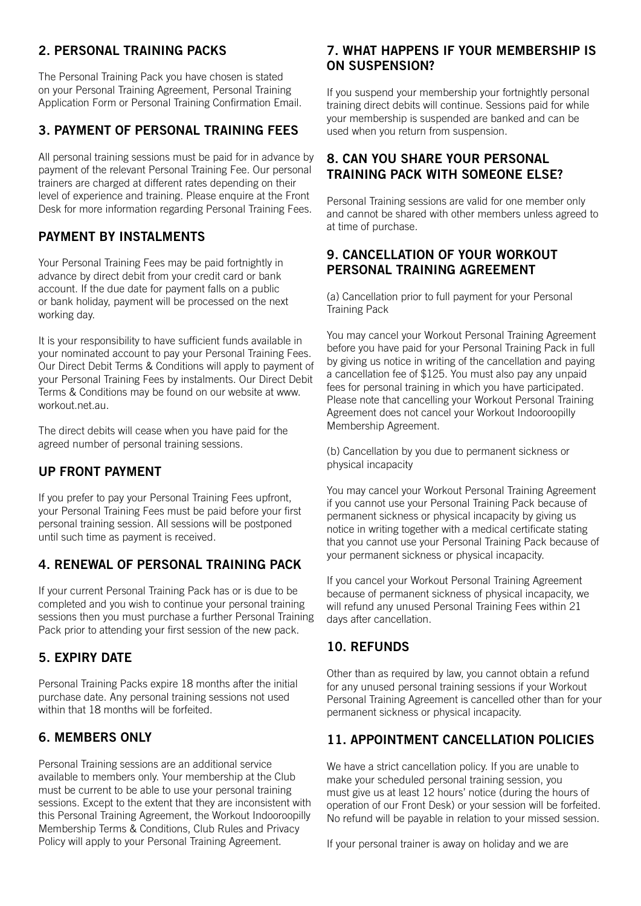# 2. PERSONAL TRAINING PACKS

The Personal Training Pack you have chosen is stated on your Personal Training Agreement, Personal Training Application Form or Personal Training Confirmation Email.

## 3. PAYMENT OF PERSONAL TRAINING FEES

All personal training sessions must be paid for in advance by payment of the relevant Personal Training Fee. Our personal trainers are charged at different rates depending on their level of experience and training. Please enquire at the Front Desk for more information regarding Personal Training Fees.

## PAYMENT BY INSTALMENTS

Your Personal Training Fees may be paid fortnightly in advance by direct debit from your credit card or bank account. If the due date for payment falls on a public or bank holiday, payment will be processed on the next working day.

It is your responsibility to have sufficient funds available in your nominated account to pay your Personal Training Fees. Our Direct Debit Terms & Conditions will apply to payment of your Personal Training Fees by instalments. Our Direct Debit Terms & Conditions may be found on our website at www. workout.net.au.

The direct debits will cease when you have paid for the agreed number of personal training sessions.

# UP FRONT PAYMENT

If you prefer to pay your Personal Training Fees upfront, your Personal Training Fees must be paid before your first personal training session. All sessions will be postponed until such time as payment is received.

## 4. RENEWAL OF PERSONAL TRAINING PACK

If your current Personal Training Pack has or is due to be completed and you wish to continue your personal training sessions then you must purchase a further Personal Training Pack prior to attending your first session of the new pack.

## 5. EXPIRY DATE

Personal Training Packs expire 18 months after the initial purchase date. Any personal training sessions not used within that 18 months will be forfeited.

## 6. MEMBERS ONLY

Personal Training sessions are an additional service available to members only. Your membership at the Club must be current to be able to use your personal training sessions. Except to the extent that they are inconsistent with this Personal Training Agreement, the Workout Indooroopilly Membership Terms & Conditions, Club Rules and Privacy Policy will apply to your Personal Training Agreement.

## 7. WHAT HAPPENS IF YOUR MEMBERSHIP IS ON SUSPENSION?

If you suspend your membership your fortnightly personal training direct debits will continue. Sessions paid for while your membership is suspended are banked and can be used when you return from suspension.

## 8. CAN YOU SHARE YOUR PERSONAL TRAINING PACK WITH SOMEONE ELSE?

Personal Training sessions are valid for one member only and cannot be shared with other members unless agreed to at time of purchase.

## 9. CANCELLATION OF YOUR WORKOUT PERSONAL TRAINING AGREEMENT

(a) Cancellation prior to full payment for your Personal Training Pack

You may cancel your Workout Personal Training Agreement before you have paid for your Personal Training Pack in full by giving us notice in writing of the cancellation and paying a cancellation fee of \$125. You must also pay any unpaid fees for personal training in which you have participated. Please note that cancelling your Workout Personal Training Agreement does not cancel your Workout Indooroopilly Membership Agreement.

(b) Cancellation by you due to permanent sickness or physical incapacity

You may cancel your Workout Personal Training Agreement if you cannot use your Personal Training Pack because of permanent sickness or physical incapacity by giving us notice in writing together with a medical certificate stating that you cannot use your Personal Training Pack because of your permanent sickness or physical incapacity.

If you cancel your Workout Personal Training Agreement because of permanent sickness of physical incapacity, we will refund any unused Personal Training Fees within 21 days after cancellation.

# 10. REFUNDS

Other than as required by law, you cannot obtain a refund for any unused personal training sessions if your Workout Personal Training Agreement is cancelled other than for your permanent sickness or physical incapacity.

## 11. APPOINTMENT CANCELLATION POLICIES

We have a strict cancellation policy. If you are unable to make your scheduled personal training session, you must give us at least 12 hours' notice (during the hours of operation of our Front Desk) or your session will be forfeited. No refund will be payable in relation to your missed session.

If your personal trainer is away on holiday and we are